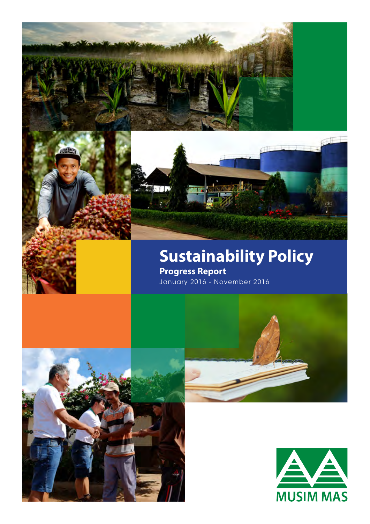

## **Sustainability Policy Progress Report**

January 2016 - November 2016



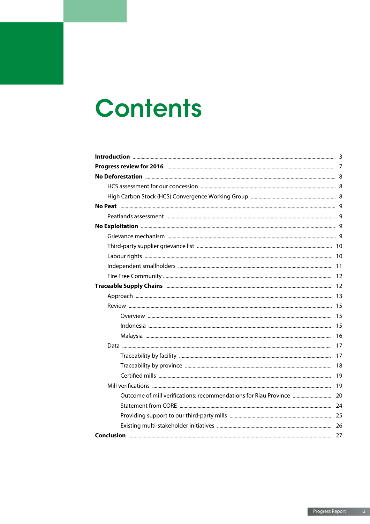# **Contents**

| Outcome of mill verifications: recommendations for Riau Province  20 |  |
|----------------------------------------------------------------------|--|
|                                                                      |  |
|                                                                      |  |
|                                                                      |  |
|                                                                      |  |
|                                                                      |  |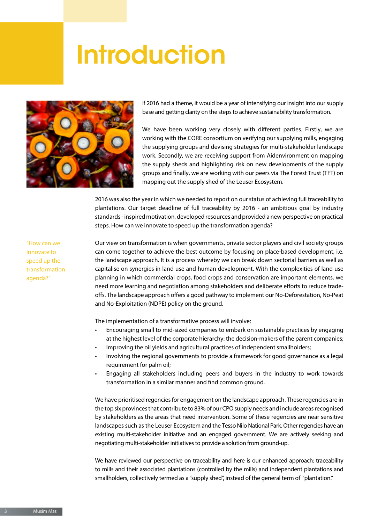# **Introduction**



If 2016 had a theme, it would be a year of intensifying our insight into our supply base and getting clarity on the steps to achieve sustainability transformation.

We have been working very closely with different parties. Firstly, we are working with the CORE consortium on verifying our supplying mills, engaging the supplying groups and devising strategies for multi-stakeholder landscape work. Secondly, we are receiving support from Aidenvironment on mapping the supply sheds and highlighting risk on new developments of the supply groups and finally, we are working with our peers via The Forest Trust (TFT) on mapping out the supply shed of the Leuser Ecosystem.

2016 was also the year in which we needed to report on our status of achieving full traceability to plantations. Our target deadline of full traceability by 2016 - an ambitious goal by industry standards - inspired motivation, developed resources and provided a new perspective on practical steps. How can we innovate to speed up the transformation agenda?

"How can we innovate to speed up the transformation agenda?"

Our view on transformation is when governments, private sector players and civil society groups can come together to achieve the best outcome by focusing on place-based development, i.e. the landscape approach. It is a process whereby we can break down sectorial barriers as well as capitalise on synergies in land use and human development. With the complexities of land use planning in which commercial crops, food crops and conservation are important elements, we need more learning and negotiation among stakeholders and deliberate efforts to reduce tradeoffs. The landscape approach offers a good pathway to implement our No-Deforestation, No-Peat and No-Exploitation (NDPE) policy on the ground.

The implementation of a transformative process will involve:

- Encouraging small to mid-sized companies to embark on sustainable practices by engaging at the highest level of the corporate hierarchy: the decision-makers of the parent companies;
- Improving the oil yields and agricultural practices of independent smallholders;
- Involving the regional governments to provide a framework for good governance as a legal requirement for palm oil:
- Engaging all stakeholders including peers and buyers in the industry to work towards transformation in a similar manner and find common ground.

We have prioritised regencies for engagement on the landscape approach. These regencies are in the top six provinces that contribute to 83% of our CPO supply needs and include areas recognised by stakeholders as the areas that need intervention. Some of these regencies are near sensitive landscapes such as the Leuser Ecosystem and the Tesso Nilo National Park. Other regencies have an existing multi-stakeholder initiative and an engaged government. We are actively seeking and negotiating multi-stakeholder initiatives to provide a solution from ground-up.

We have reviewed our perspective on traceability and here is our enhanced approach: traceability to mills and their associated plantations (controlled by the mills) and independent plantations and smallholders, collectively termed as a "supply shed", instead of the general term of "plantation."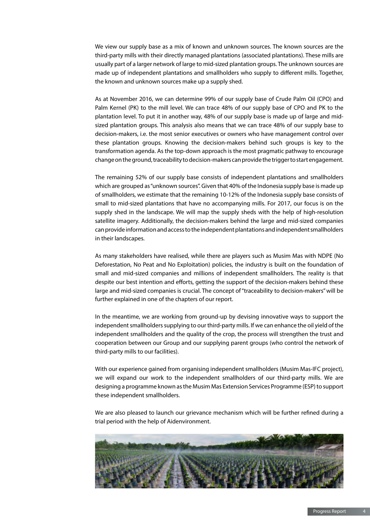We view our supply base as a mix of known and unknown sources. The known sources are the third-party mills with their directly managed plantations (associated plantations). These mills are usually part of a larger network of large to mid-sized plantation groups. The unknown sources are made up of independent plantations and smallholders who supply to different mills. Together, the known and unknown sources make up a supply shed.

As at November 2016, we can determine 99% of our supply base of Crude Palm Oil (CPO) and Palm Kernel (PK) to the mill level. We can trace 48% of our supply base of CPO and PK to the plantation level. To put it in another way, 48% of our supply base is made up of large and midsized plantation groups. This analysis also means that we can trace 48% of our supply base to decision-makers, i.e. the most senior executives or owners who have management control over these plantation groups. Knowing the decision-makers behind such groups is key to the transformation agenda. As the top-down approach is the most pragmatic pathway to encourage change on the ground, traceability to decision-makers can provide the trigger to start engagement.

The remaining 52% of our supply base consists of independent plantations and smallholders which are grouped as "unknown sources". Given that 40% of the Indonesia supply base is made up of smallholders, we estimate that the remaining 10-12% of the Indonesia supply base consists of small to mid-sized plantations that have no accompanying mills. For 2017, our focus is on the supply shed in the landscape. We will map the supply sheds with the help of high-resolution satellite imagery. Additionally, the decision-makers behind the large and mid-sized companies can provide information and access to the independent plantations and independent smallholders in their landscapes.

As many stakeholders have realised, while there are players such as Musim Mas with NDPE (No Deforestation, No Peat and No Exploitation) policies, the industry is built on the foundation of small and mid-sized companies and millions of independent smallholders. The reality is that despite our best intention and efforts, getting the support of the decision-makers behind these large and mid-sized companies is crucial. The concept of "traceability to decision-makers" will be further explained in one of the chapters of our report.

In the meantime, we are working from ground-up by devising innovative ways to support the independent smallholders supplying to our third-party mills. If we can enhance the oil yield of the independent smallholders and the quality of the crop, the process will strengthen the trust and cooperation between our Group and our supplying parent groups (who control the network of third-party mills to our facilities).

With our experience gained from organising independent smallholders (Musim Mas-IFC project), we will expand our work to the independent smallholders of our third-party mills. We are designing a programme known as the Musim Mas Extension Services Programme (ESP) to support these independent smallholders.

We are also pleased to launch our grievance mechanism which will be further refined during a trial period with the help of Aidenvironment.

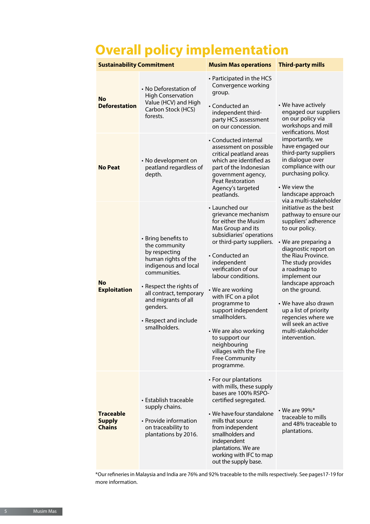# **Overall policy implementation**

| <b>Sustainability Commitment</b>                   |                                                                                                                                                                                                                                                         | <b>Musim Mas operations</b>                                                                                                                                                                                                                                                                                                                                                                                                                              | <b>Third-party mills</b>                                                                                                                                                                                                                                                                                                                                                                           |
|----------------------------------------------------|---------------------------------------------------------------------------------------------------------------------------------------------------------------------------------------------------------------------------------------------------------|----------------------------------------------------------------------------------------------------------------------------------------------------------------------------------------------------------------------------------------------------------------------------------------------------------------------------------------------------------------------------------------------------------------------------------------------------------|----------------------------------------------------------------------------------------------------------------------------------------------------------------------------------------------------------------------------------------------------------------------------------------------------------------------------------------------------------------------------------------------------|
| <b>No</b><br><b>Deforestation</b>                  | • No Deforestation of<br><b>High Conservation</b><br>Value (HCV) and High<br>Carbon Stock (HCS)<br>forests.                                                                                                                                             | • Participated in the HCS<br>Convergence working<br>group.<br>• Conducted an<br>independent third-<br>party HCS assessment<br>on our concession.                                                                                                                                                                                                                                                                                                         | • We have actively<br>engaged our suppliers<br>on our policy via<br>workshops and mill                                                                                                                                                                                                                                                                                                             |
| No Peat                                            | • No development on<br>peatland regardless of<br>depth.                                                                                                                                                                                                 | • Conducted internal<br>assessment on possible<br>critical peatland areas<br>which are identified as<br>part of the Indonesian<br>government agency,<br><b>Peat Restoration</b><br>Agency's targeted<br>peatlands.                                                                                                                                                                                                                                       | verifications. Most<br>importantly, we<br>have engaged our<br>third-party suppliers<br>in dialogue over<br>compliance with our<br>purchasing policy.<br>$\cdot$ We view the<br>landscape approach<br>via a multi-stakeholder                                                                                                                                                                       |
| <b>No</b><br><b>Exploitation</b>                   | • Bring benefits to<br>the community<br>by respecting<br>human rights of the<br>indigenous and local<br>communities.<br>• Respect the rights of<br>all contract, temporary<br>and migrants of all<br>genders.<br>• Respect and include<br>smallholders. | • Launched our<br>grievance mechanism<br>for either the Musim<br>Mas Group and its<br>subsidiaries' operations<br>or third-party suppliers.<br>• Conducted an<br>independent<br>verification of our<br>labour conditions.<br>• We are working<br>with IFC on a pilot<br>programme to<br>support independent<br>smallholders.<br>• We are also working<br>to support our<br>neighbouring<br>villages with the Fire<br><b>Free Community</b><br>programme. | initiative as the best<br>pathway to ensure our<br>suppliers' adherence<br>to our policy.<br>• We are preparing a<br>diagnostic report on<br>the Riau Province.<br>The study provides<br>a roadmap to<br>implement our<br>landscape approach<br>on the ground.<br>• We have also drawn<br>up a list of priority<br>regencies where we<br>will seek an active<br>multi-stakeholder<br>intervention. |
| <b>Traceable</b><br><b>Supply</b><br><b>Chains</b> | • Establish traceable<br>supply chains.<br>• Provide information<br>on traceability to<br>plantations by 2016.                                                                                                                                          | • For our plantations<br>with mills, these supply<br>bases are 100% RSPO-<br>certified segregated.<br>• We have four standalone<br>mills that source<br>from independent<br>smallholders and<br>independent<br>plantations. We are<br>working with IFC to map<br>out the supply base.                                                                                                                                                                    | $\cdot$ We are 99%*<br>traceable to mills<br>and 48% traceable to<br>plantations.                                                                                                                                                                                                                                                                                                                  |

\*Our refineries in Malaysia and India are 76% and 92% traceable to the mills respectively. See pages17-19 for more information.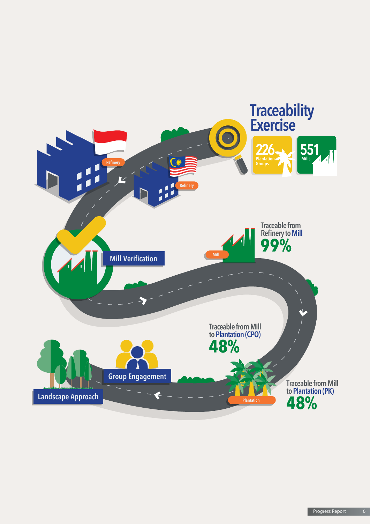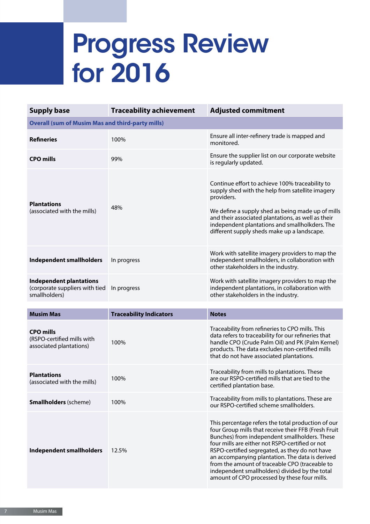# Progress Review for 2016

| <b>Supply base</b>                                                                | <b>Traceability achievement</b> | <b>Adjusted commitment</b>                                                                                                                                                                                                                                                                                                                                                                                                                                              |
|-----------------------------------------------------------------------------------|---------------------------------|-------------------------------------------------------------------------------------------------------------------------------------------------------------------------------------------------------------------------------------------------------------------------------------------------------------------------------------------------------------------------------------------------------------------------------------------------------------------------|
| <b>Overall (sum of Musim Mas and third-party mills)</b>                           |                                 |                                                                                                                                                                                                                                                                                                                                                                                                                                                                         |
| <b>Refineries</b>                                                                 | 100%                            | Ensure all inter-refinery trade is mapped and<br>monitored.                                                                                                                                                                                                                                                                                                                                                                                                             |
| <b>CPO mills</b>                                                                  | 99%                             | Ensure the supplier list on our corporate website<br>is regularly updated.                                                                                                                                                                                                                                                                                                                                                                                              |
| <b>Plantations</b><br>(associated with the mills)                                 | 48%                             | Continue effort to achieve 100% traceability to<br>supply shed with the help from satellite imagery<br>providers.<br>We define a supply shed as being made up of mills<br>and their associated plantations, as well as their<br>independent plantations and smallholkders. The<br>different supply sheds make up a landscape.                                                                                                                                           |
| <b>Independent smallholders</b>                                                   | In progress                     | Work with satellite imagery providers to map the<br>independent smallholders, in collaboration with<br>other stakeholders in the industry.                                                                                                                                                                                                                                                                                                                              |
| <b>Independent plantations</b><br>(corporate suppliers with tied<br>smallholders) | In progress                     | Work with satellite imagery providers to map the<br>independent plantations, in collaboration with<br>other stakeholders in the industry.                                                                                                                                                                                                                                                                                                                               |
| <b>Musim Mas</b>                                                                  | <b>Traceability Indicators</b>  | <b>Notes</b>                                                                                                                                                                                                                                                                                                                                                                                                                                                            |
| <b>CPO mills</b><br>(RSPO-certified mills with<br>associated plantations)         | 100%                            | Traceability from refineries to CPO mills. This<br>data refers to traceability for our refineries that<br>handle CPO (Crude Palm Oil) and PK (Palm Kernel)<br>products. The data excludes non-certified mills<br>that do not have associated plantations.                                                                                                                                                                                                               |
| <b>Plantations</b><br>(associated with the mills)                                 | 100%                            | Traceability from mills to plantations. These<br>are our RSPO-certified mills that are tied to the<br>certified plantation base.                                                                                                                                                                                                                                                                                                                                        |
| <b>Smallholders</b> (scheme)                                                      | 100%                            | Traceability from mills to plantations. These are<br>our RSPO-certified scheme smallholders.                                                                                                                                                                                                                                                                                                                                                                            |
| <b>Independent smallholders</b>                                                   | 12.5%                           | This percentage refers the total production of our<br>four Group mills that receive their FFB (Fresh Fruit<br>Bunches) from independent smallholders. These<br>four mills are either not RSPO-certified or not<br>RSPO-certified segregated, as they do not have<br>an accompanying plantation. The data is derived<br>from the amount of traceable CPO (traceable to<br>independent smallholders) divided by the total<br>amount of CPO processed by these four mills. |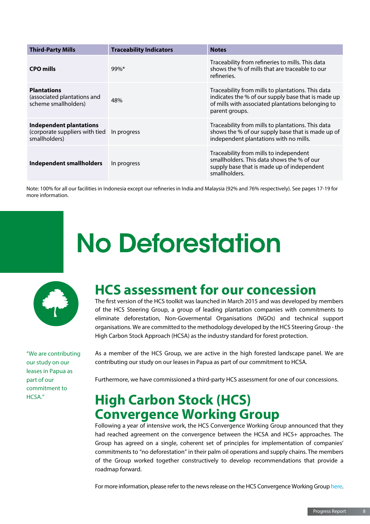| <b>Third-Party Mills</b>                                                          | <b>Traceability Indicators</b> | <b>Notes</b>                                                                                                                                                                   |
|-----------------------------------------------------------------------------------|--------------------------------|--------------------------------------------------------------------------------------------------------------------------------------------------------------------------------|
| <b>CPO mills</b>                                                                  | $99\%$ *                       | Traceability from refineries to mills. This data<br>shows the % of mills that are traceable to our<br>refineries.                                                              |
| <b>Plantations</b><br>(associated plantations and<br>scheme smallholders)         | 48%                            | Traceability from mills to plantations. This data<br>indicates the % of our supply base that is made up<br>of mills with associated plantations belonging to<br>parent groups. |
| <b>Independent plantations</b><br>(corporate suppliers with tied<br>smallholders) | In progress                    | Traceability from mills to plantations. This data<br>shows the % of our supply base that is made up of<br>independent plantations with no mills.                               |
| Independent smallholders                                                          | In progress                    | Traceability from mills to independent<br>smallholders. This data shows the % of our<br>supply base that is made up of independent<br>smallholders.                            |

Note: 100% for all our facilities in Indonesia except our refineries in India and Malaysia (92% and 76% respectively). See pages 17-19 for more information.

# No Deforestation



"We are contributing our study on our leases in Papua as part of our commitment to HCSA."

# **HCS assessment for our concession**

The first version of the HCS toolkit was launched in March 2015 and was developed by members of the HCS Steering Group, a group of leading plantation companies with commitments to eliminate deforestation, Non-Govermental Organisations (NGOs) and technical support organisations. We are committed to the methodology developed by the HCS Steering Group - the High Carbon Stock Approach (HCSA) as the industry standard for forest protection.

As a member of the HCS Group, we are active in the high forested landscape panel. We are contributing our study on our leases in Papua as part of our commitment to HCSA.

Furthermore, we have commissioned a third-party HCS assessment for one of our concessions.

## **High Carbon Stock (HCS) Convergence Working Group**

Following a year of intensive work, the HCS Convergence Working Group announced that they had reached agreement on the convergence between the HCSA and HCS+ approaches. The Group has agreed on a single, coherent set of principles for implementation of companies' commitments to "no deforestation" in their palm oil operations and supply chains. The members of the Group worked together constructively to develop recommendations that provide a roadmap forward.

For more information, please refer to the news release on the HCS Convergence Working Group [here.](http://www.musimmas.com/news/general-news/2016/hcs-convergence-process-concludes-agreement-on-unified-approach-to-implementing-no-deforestation-commitments)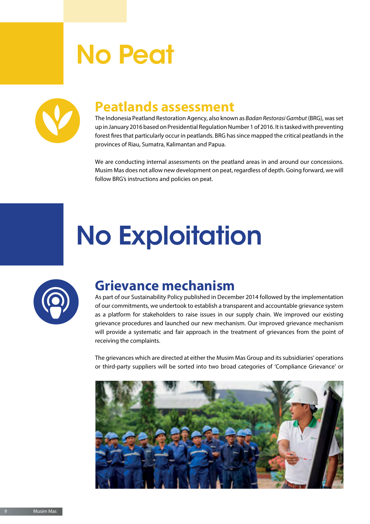# No Peat



## **Peatlands assessment**

The Indonesia Peatland Restoration Agency, also known as *Badan Restorasi Gambut* (BRG), was set up in January 2016 based on Presidential Regulation Number 1 of 2016. It is tasked with preventing forest fires that particularly occur in peatlands. BRG has since mapped the critical peatlands in the provinces of Riau, Sumatra, Kalimantan and Papua.

We are conducting internal assessments on the peatland areas in and around our concessions. Musim Mas does not allow new development on peat, regardless of depth. Going forward, we will follow BRG's instructions and policies on peat.

# No Exploitation



## **Grievance mechanism**

As part of our Sustainability Policy published in December 2014 followed by the implementation of our commitments, we undertook to establish a transparent and accountable grievance system as a platform for stakeholders to raise issues in our supply chain. We improved our existing grievance procedures and launched our new mechanism. Our improved grievance mechanism will provide a systematic and fair approach in the treatment of grievances from the point of receiving the complaints.

The grievances which are directed at either the Musim Mas Group and its subsidiaries' operations or third-party suppliers will be sorted into two broad categories of 'Compliance Grievance' or

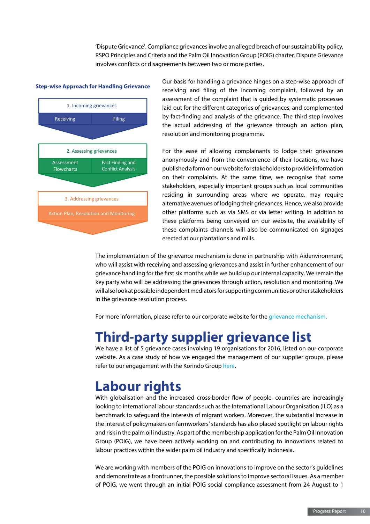'Dispute Grievance'. Compliance grievances involve an alleged breach of our sustainability policy, RSPO Principles and Criteria and the Palm Oil Innovation Group (POIG) charter. Dispute Grievance involves conflicts or disagreements between two or more parties.

#### **Step-wise Approach for Handling Grievance**



Our basis for handling a grievance hinges on a step-wise approach of receiving and filing of the incoming complaint, followed by an assessment of the complaint that is guided by systematic processes laid out for the different categories of grievances, and complemented by fact-finding and analysis of the grievance. The third step involves the actual addressing of the grievance through an action plan, resolution and monitoring programme.

For the ease of allowing complainants to lodge their grievances anonymously and from the convenience of their locations, we have published a form on our website for stakeholders to provide information on their complaints. At the same time, we recognise that some stakeholders, especially important groups such as local communities residing in surrounding areas where we operate, may require alternative avenues of lodging their grievances. Hence, we also provide other platforms such as via SMS or via letter writing. In addition to these platforms being conveyed on our website, the availability of these complaints channels will also be communicated on signages erected at our plantations and mills.

The implementation of the grievance mechanism is done in partnership with Aidenvironment, who will assist with receiving and assessing grievances and assist in further enhancement of our grievance handling for the first six months while we build up our internal capacity. We remain the key party who will be addressing the grievances through action, resolution and monitoring. We will also look at possible independent mediators for supporting communities or other stakeholders in the grievance resolution process.

For more information, please refer to our corporate website for the [grievance mechanism](http://www.musimmas.com/sustainability/grievance).

## **Third-party supplier grievance list**

We have a list of 5 grievance cases involving 19 organisations for 2016, listed on our corporate website. As a case study of how we engaged the management of our supplier groups, please refer to our engagement with the Korindo Group [here.](http://www.musimmas.com/news/general-news/2016/commitment-towards-supporting-suppliers-through-their-sustainability-journey)

## **Labour rights**

With globalisation and the increased cross-border flow of people, countries are increasingly looking to international labour standards such as the International Labour Organisation (ILO) as a benchmark to safeguard the interests of migrant workers. Moreover, the substantial increase in the interest of policymakers on farmworkers' standards has also placed spotlight on labour rights and risk in the palm oil industry. As part of the membership application for the Palm Oil Innovation Group (POIG), we have been actively working on and contributing to innovations related to labour practices within the wider palm oil industry and specifically Indonesia.

We are working with members of the POIG on innovations to improve on the sector's quidelines and demonstrate as a frontrunner, the possible solutions to improve sectoral issues. As a member of POIG, we went through an initial POIG social compliance assessment from 24 August to 1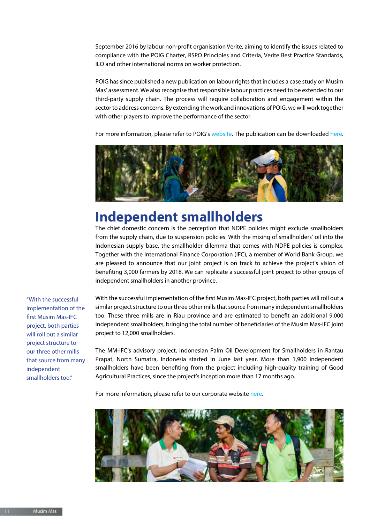September 2016 by labour non-profit organisation Verite, aiming to identify the issues related to compliance with the POIG Charter, RSPO Principles and Criteria, Verite Best Practice Standards, ILO and other international norms on worker protection.

POIG has since published a new publication on labour rights that includes a case study on Musim Mas' assessment. We also recognise that responsible labour practices need to be extended to our third-party supply chain. The process will require collaboration and engagement within the sector to address concerns. By extending the work and innovations of POIG, we will work together with other players to improve the performance of the sector.

For more information, please refer to POIG's [website](http://poig.org/). The publication can be downloaded [here.](http://poig.org/wp-content/uploads/2016/11/POIG-Innovations-Publication-Labour-Rights-November-2016.pdf)



## **Independent smallholders**

The chief domestic concern is the perception that NDPE policies might exclude smallholders from the supply chain, due to suspension policies. With the mixing of smallholders' oil into the Indonesian supply base, the smallholder dilemma that comes with NDPE policies is complex. Together with the International Finance Corporation (IFC), a member of World Bank Group, we are pleased to announce that our joint project is on track to achieve the project's vision of benefiting 3,000 farmers by 2018. We can replicate a successful joint project to other groups of independent smallholders in another province.

"With the successful implementation of the first Musim Mas-IFC project, both parties will roll out a similar project structure to our three other mills that source from many independent smallholders too."

With the successful implementation of the first Musim Mas-IFC project, both parties will roll out a similar project structure to our three other mills that source from many independent smallholders too. These three mills are in Riau province and are estimated to benefit an additional 9,000 independent smallholders, bringing the total number of beneficiaries of the Musim Mas-IFC joint project to 12,000 smallholders.

The MM-IFC's advisory project, Indonesian Palm Oil Development for Smallholders in Rantau Prapat, North Sumatra, Indonesia started in June last year. More than 1,900 independent smallholders have been benefiting from the project including high-quality training of Good Agricultural Practices, since the project's inception more than 17 months ago.

For more information, please refer to our corporate website [here.](http://www.musimmas.com/news/sustainability-journal/2016/musim-mas-ifc-joint-smallholder-project)

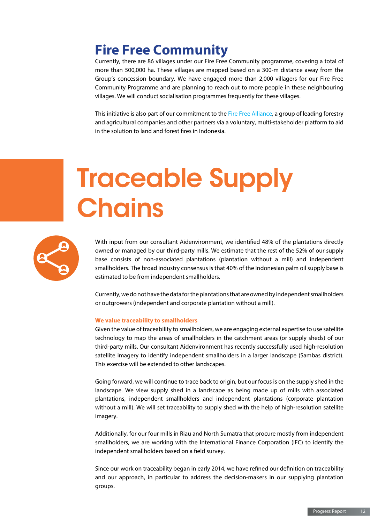# **Fire Free Community**

Currently, there are 86 villages under our Fire Free Community programme, covering a total of more than 500,000 ha. These villages are mapped based on a 300-m distance away from the Group's concession boundary. We have engaged more than 2,000 villagers for our Fire Free Community Programme and are planning to reach out to more people in these neighbouring villages. We will conduct socialisation programmes frequently for these villages.

This initiative is also part of our commitment to the [Fire Free Alliance,](http://www.firefreealliance.org) a group of leading forestry and agricultural companies and other partners via a voluntary, multi-stakeholder platform to aid in the solution to land and forest fires in Indonesia.

# Traceable Supply **Chains**



With input from our consultant Aidenvironment, we identified 48% of the plantations directly owned or managed by our third-party mills. We estimate that the rest of the 52% of our supply base consists of non-associated plantations (plantation without a mill) and independent smallholders. The broad industry consensus is that 40% of the Indonesian palm oil supply base is estimated to be from independent smallholders.

Currently, we do not have the data for the plantations that are owned by independent smallholders or outgrowers (independent and corporate plantation without a mill).

#### **We value traceability to smallholders**

Given the value of traceability to smallholders, we are engaging external expertise to use satellite technology to map the areas of smallholders in the catchment areas (or supply sheds) of our third-party mills. Our consultant Aidenvironment has recently successfully used high-resolution satellite imagery to identify independent smallholders in a larger landscape (Sambas district). This exercise will be extended to other landscapes.

Going forward, we will continue to trace back to origin, but our focus is on the supply shed in the landscape. We view supply shed in a landscape as being made up of mills with associated plantations, independent smallholders and independent plantations (corporate plantation without a mill). We will set traceability to supply shed with the help of high-resolution satellite imagery.

Additionally, for our four mills in Riau and North Sumatra that procure mostly from independent smallholders, we are working with the International Finance Corporation (IFC) to identify the independent smallholders based on a field survey.

Since our work on traceability began in early 2014, we have refined our definition on traceability and our approach, in particular to address the decision-makers in our supplying plantation groups.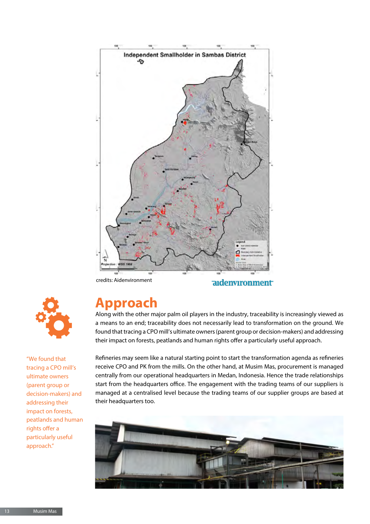

credits: Aidenvironment

adenvironment



"We found that tracing a CPO mill's ultimate owners (parent group or decision-makers) and addressing their impact on forests, peatlands and human rights offer a particularly useful approach."

## **Approach**

Along with the other major palm oil players in the industry, traceability is increasingly viewed as a means to an end; traceability does not necessarily lead to transformation on the ground. We found that tracing a CPO mill's ultimate owners (parent group or decision-makers) and addressing their impact on forests, peatlands and human rights offer a particularly useful approach.

Refineries may seem like a natural starting point to start the transformation agenda as refineries receive CPO and PK from the mills. On the other hand, at Musim Mas, procurement is managed centrally from our operational headquarters in Medan, Indonesia. Hence the trade relationships start from the headquarters office. The engagement with the trading teams of our suppliers is managed at a centralised level because the trading teams of our supplier groups are based at their headquarters too.

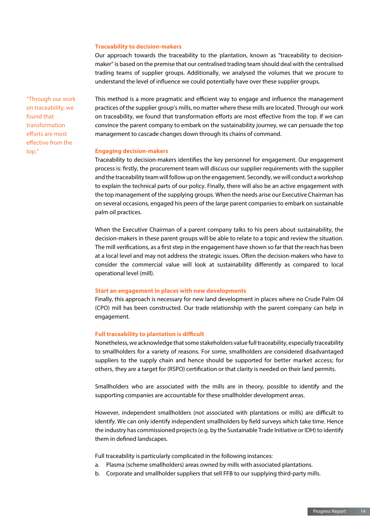#### **Traceability to decision-makers**

Our approach towards the traceability to the plantation, known as "traceability to decisionmaker" is based on the premise that our centralised trading team should deal with the centralised trading teams of supplier groups. Additionally, we analysed the volumes that we procure to understand the level of influence we could potentially have over these supplier groups.

"Through our work on traceability, we found that transformation efforts are most effective from the top."

This method is a more pragmatic and efficient way to engage and influence the management practices of the supplier group's mills, no matter where these mills are located. Through our work on traceability, we found that transformation efforts are most effective from the top. If we can convince the parent company to embark on the sustainability journey, we can persuade the top management to cascade changes down through its chains of command.

#### **Engaging decision-makers**

Traceability to decision-makers identifies the key personnel for engagement. Our engagement process is: firstly, the procurement team will discuss our supplier requirements with the supplier and the traceability team will follow up on the engagement. Secondly, we will conduct a workshop to explain the technical parts of our policy. Finally, there will also be an active engagement with the top management of the supplying groups. When the needs arise our Executive Chairman has on several occasions, engaged his peers of the large parent companies to embark on sustainable palm oil practices.

When the Executive Chairman of a parent company talks to his peers about sustainability, the decision-makers in these parent groups will be able to relate to a topic and review the situation. The mill verifications, as a first step in the engagement have shown so far that the reach has been at a local level and may not address the strategic issues. Often the decision-makers who have to consider the commercial value will look at sustainability differently as compared to local operational level (mill).

#### **Start an engagement in places with new developments**

Finally, this approach is necessary for new land development in places where no Crude Palm Oil (CPO) mill has been constructed. Our trade relationship with the parent company can help in engagement.

#### **Full traceability to plantation is difficult**

Nonetheless, we acknowledge that some stakeholders value full traceability, especially traceability to smallholders for a variety of reasons. For some, smallholders are considered disadvantaged suppliers to the supply chain and hence should be supported for better market access; for others, they are a target for (RSPO) certification or that clarity is needed on their land permits.

Smallholders who are associated with the mills are in theory, possible to identify and the supporting companies are accountable for these smallholder development areas.

However, independent smallholders (not associated with plantations or mills) are difficult to identify. We can only identify independent smallholders by field surveys which take time. Hence the industry has commissioned projects (e.g. by the Sustainable Trade Initiative or IDH) to identify them in defined landscapes.

Full traceability is particularly complicated in the following instances:

- a. Plasma (scheme smallholders) areas owned by mills with associated plantations.
- b. Corporate and smallholder suppliers that sell FFB to our supplying third-party mills.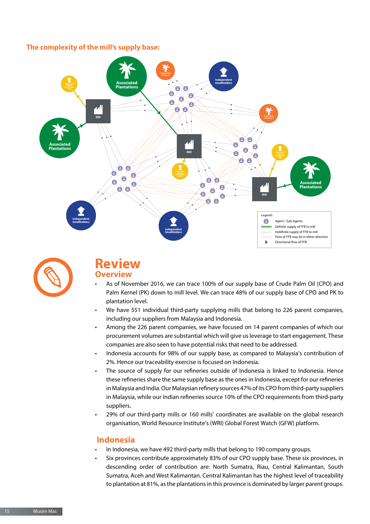### **The complexity of the mill's supply base:**





## **Review Overview**

- As of November 2016, we can trace 100% of our supply base of Crude Palm Oil (CPO) and Palm Kernel (PK) down to mill level. We can trace 48% of our supply base of CPO and PK to plantation level.
- We have 551 individual third-party supplying mills that belong to 226 parent companies, including our suppliers from Malaysia and Indonesia.
- Among the 226 parent companies, we have focused on 14 parent companies of which our procurement volumes are substantial which will give us leverage to start engagement. These companies are also seen to have potential risks that need to be addressed.
- Indonesia accounts for 98% of our supply base, as compared to Malaysia's contribution of 2%. Hence our traceability exercise is focused on Indonesia.
- The source of supply for our refineries outside of Indonesia is linked to Indonesia. Hence these refineries share the same supply base as the ones in Indonesia, except for our refineries in Malaysia and India. Our Malaysian refinery sources 47% of its CPO from third-party suppliers in Malaysia, while our Indian refineries source 10% of the CPO requirements from third-party suppliers.
- 29% of our third-party mills or 160 mills' coordinates are available on the global research organisation, World Resource Institute's (WRI) Global Forest Watch (GFW) platform.

### **Indonesia**

- In Indonesia, we have 492 third-party mills that belong to 190 company groups.
- Six provinces contribute approximately 83% of our CPO supply base. These six provinces, in descending order of contribution are: North Sumatra, Riau, Central Kalimantan, South Sumatra, Aceh and West Kalimantan. Central Kalimantan has the highest level of traceability to plantation at 81%, as the plantations in this province is dominated by larger parent groups.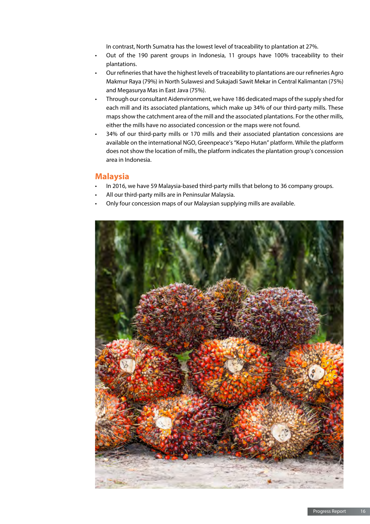In contrast, North Sumatra has the lowest level of traceability to plantation at 27%.

- Out of the 190 parent groups in Indonesia, 11 groups have 100% traceability to their plantations.
- Our refineries that have the highest levels of traceability to plantations are our refineries Agro Makmur Raya (79%) in North Sulawesi and Sukajadi Sawit Mekar in Central Kalimantan (75%) and Megasurya Mas in East Java (75%).
- Through our consultant Aidenvironment, we have 186 dedicated maps of the supply shed for each mill and its associated plantations, which make up 34% of our third-party mills. These maps show the catchment area of the mill and the associated plantations. For the other mills, either the mills have no associated concession or the maps were not found.
- 34% of our third-party mills or 170 mills and their associated plantation concessions are available on the international NGO, Greenpeace's "Kepo Hutan" platform. While the platform does not show the location of mills, the platform indicates the plantation group's concession area in Indonesia.

### **Malaysia**

- In 2016, we have 59 Malaysia-based third-party mills that belong to 36 company groups.
- All our third-party mills are in Peninsular Malaysia.
- Only four concession maps of our Malaysian supplying mills are available.

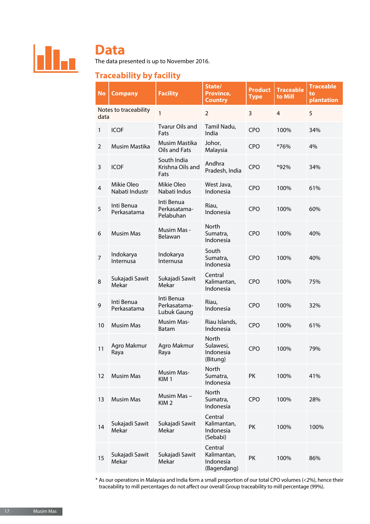

## **Data**

The data presented is up to November 2016.

## **Traceability by facility**

| <b>No</b>      | <b>Company</b>               | <b>Facility</b>                           | State/<br>Province,<br><b>Country</b>              | <b>Product</b><br><b>Type</b> | <b>Traceable</b><br>to Mill | <b>Traceable</b><br>to<br>plantation |
|----------------|------------------------------|-------------------------------------------|----------------------------------------------------|-------------------------------|-----------------------------|--------------------------------------|
| data           | Notes to traceability        | 1                                         | $\overline{2}$                                     | $\overline{3}$                | $\overline{4}$              | 5                                    |
| 1              | <b>ICOF</b>                  | <b>Tvarur Oils and</b><br>Fats            | Tamil Nadu,<br>India                               | <b>CPO</b>                    | 100%                        | 34%                                  |
| 2              | Musim Mastika                | Musim Mastika<br>Oils and Fats            | Johor,<br>Malaysia                                 | <b>CPO</b>                    | *76%                        | 4%                                   |
| 3              | <b>ICOF</b>                  | South India<br>Krishna Oils and<br>Fats   | Andhra<br>Pradesh, India                           | <b>CPO</b>                    | *92%                        | 34%                                  |
| 4              | Mikie Oleo<br>Nabati Industr | Mikie Oleo<br>Nabati Indus                | West Java,<br>Indonesia                            | <b>CPO</b>                    | 100%                        | 61%                                  |
| 5              | Inti Benua<br>Perkasatama    | Inti Benua<br>Perkasatama-<br>Pelabuhan   | Riau,<br>Indonesia                                 | <b>CPO</b>                    | 100%                        | 60%                                  |
| 6              | <b>Musim Mas</b>             | Musim Mas -<br>Belawan                    | <b>North</b><br>Sumatra,<br>Indonesia              | <b>CPO</b>                    | 100%                        | 40%                                  |
| $\overline{7}$ | Indokarya<br>Internusa       | Indokarya<br>Internusa                    | South<br>Sumatra,<br>Indonesia                     | <b>CPO</b>                    | 100%                        | 40%                                  |
| 8              | Sukajadi Sawit<br>Mekar      | Sukajadi Sawit<br>Mekar                   | Central<br>Kalimantan,<br>Indonesia                | <b>CPO</b>                    | 100%                        | 75%                                  |
| 9              | Inti Benua<br>Perkasatama    | Inti Benua<br>Perkasatama-<br>Lubuk Gaung | Riau,<br>Indonesia                                 | <b>CPO</b>                    | 100%                        | 32%                                  |
| 10             | <b>Musim Mas</b>             | <b>Musim Mas-</b><br><b>Batam</b>         | Riau Islands,<br>Indonesia                         | <b>CPO</b>                    | 100%                        | 61%                                  |
| 11             | Agro Makmur<br>Raya          | Agro Makmur<br>Raya                       | <b>North</b><br>Sulawesi,<br>Indonesia<br>(Bitung) | <b>CPO</b>                    | 100%                        | 79%                                  |
| 12             | <b>Musim Mas</b>             | <b>Musim Mas-</b><br>KIM <sub>1</sub>     | North<br>Sumatra,<br>Indonesia                     | PK                            | 100%                        | 41%                                  |
| 13             | <b>Musim Mas</b>             | Musim Mas-<br>KIM <sub>2</sub>            | North<br>Sumatra,<br>Indonesia                     | <b>CPO</b>                    | 100%                        | 28%                                  |
| 14             | Sukajadi Sawit<br>Mekar      | Sukajadi Sawit<br>Mekar                   | Central<br>Kalimantan,<br>Indonesia<br>(Sebabi)    | PK                            | 100%                        | 100%                                 |
| 15             | Sukajadi Sawit<br>Mekar      | Sukajadi Sawit<br>Mekar                   | Central<br>Kalimantan,<br>Indonesia<br>(Bagendang) | PK                            | 100%                        | 86%                                  |

\* As our operations in Malaysia and India form a small proportion of our total CPO volumes (<2%), hence their traceability to mill percentages do not affect our overall Group traceability to mill percentage (99%).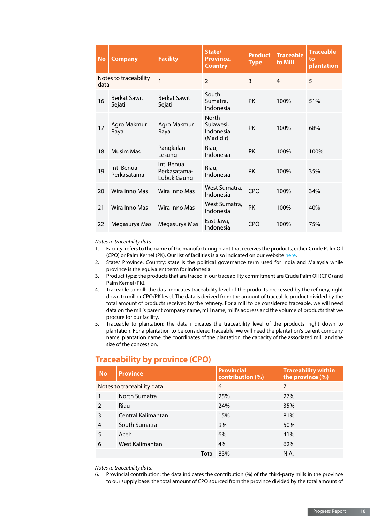| <b>No</b> | <b>Company</b>                | <b>Facility</b>                           | State/<br>Province,<br><b>Country</b>               | <b>Product</b><br><b>Type</b> | <b>Traceable</b><br>to Mill | <b>Traceable</b><br>to<br>plantation |
|-----------|-------------------------------|-------------------------------------------|-----------------------------------------------------|-------------------------------|-----------------------------|--------------------------------------|
| data      | Notes to traceability         | 1                                         | $\mathfrak{D}$                                      | 3                             | 4                           | 5                                    |
| 16        | <b>Berkat Sawit</b><br>Sejati | <b>Berkat Sawit</b><br>Sejati             | South<br>Sumatra,<br>Indonesia                      | <b>PK</b>                     | 100%                        | 51%                                  |
| 17        | Agro Makmur<br>Raya           | Agro Makmur<br>Raya                       | <b>North</b><br>Sulawesi,<br>Indonesia<br>(Madidir) | <b>PK</b>                     | 100%                        | 68%                                  |
| 18        | <b>Musim Mas</b>              | Pangkalan<br>Lesung                       | Riau,<br>Indonesia                                  | <b>PK</b>                     | 100%                        | 100%                                 |
| 19        | Inti Benua<br>Perkasatama     | Inti Benua<br>Perkasatama-<br>Lubuk Gaung | Riau,<br>Indonesia                                  | <b>PK</b>                     | 100%                        | 35%                                  |
| 20        | Wira Inno Mas                 | Wira Inno Mas                             | West Sumatra,<br>Indonesia                          | <b>CPO</b>                    | 100%                        | 34%                                  |
| 21        | Wira Inno Mas                 | Wira Inno Mas                             | West Sumatra,<br>Indonesia                          | <b>PK</b>                     | 100%                        | 40%                                  |
| 22        | Megasurya Mas                 | Megasurya Mas                             | East Java,<br>Indonesia                             | CPO                           | 100%                        | 75%                                  |

#### *Notes to traceability data:*

- 1. Facility: refers to the name of the manufacturing plant that receives the products, either Crude Palm Oil (CPO) or Palm Kernel (PK). Our list of facilities is also indicated on our website [here](http://www.musimmas.com/sustainability/traceable-supply-chain/supply-chain-map).
- 2. State/ Province, Country: state is the political governance term used for India and Malaysia while province is the equivalent term for Indonesia.
- 3. Product type: the products that are traced in our traceability commitment are Crude Palm Oil (CPO) and Palm Kernel (PK).
- 4. Traceable to mill: the data indicates traceability level of the products processed by the refinery, right down to mill or CPO/PK level. The data is derived from the amount of traceable product divided by the total amount of products received by the refinery. For a mill to be considered traceable, we will need data on the mill's parent company name, mill name, mill's address and the volume of products that we procure for our facility.
- 5. Traceable to plantation: the data indicates the traceability level of the products, right down to plantation. For a plantation to be considered traceable, we will need the plantation's parent company name, plantation name, the coordinates of the plantation, the capacity of the associated mill, and the size of the concession.

### **Traceability by province (CPO)**

| <b>No</b>     | <b>Province</b>            | <b>Provincial</b><br>contribution (%) | <b>Traceability within</b><br>the province (%) |
|---------------|----------------------------|---------------------------------------|------------------------------------------------|
|               | Notes to traceability data | 6                                     | 7                                              |
|               | North Sumatra              | 25%                                   | 27%                                            |
| $\mathcal{P}$ | Riau                       | 24%                                   | 35%                                            |
| 3             | Central Kalimantan         | 15%                                   | 81%                                            |
| 4             | South Sumatra              | 9%                                    | 50%                                            |
| 5             | Aceh                       | 6%                                    | 41%                                            |
| 6             | West Kalimantan            | 4%                                    | 62%                                            |
|               | Total 83%                  |                                       | N.A.                                           |

#### *Notes to traceability data:*

6. Provincial contribution: the data indicates the contribution (%) of the third-party mills in the province to our supply base: the total amount of CPO sourced from the province divided by the total amount of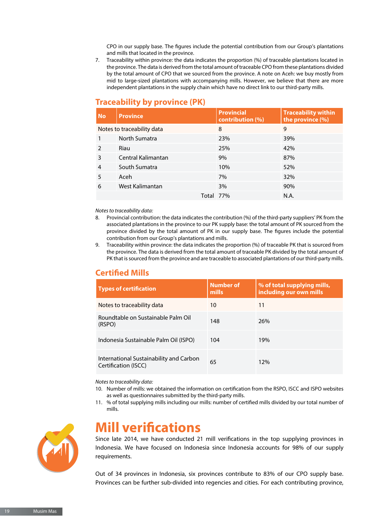CPO in our supply base. The figures include the potential contribution from our Group's plantations and mills that located in the province.

7. Traceability within province: the data indicates the proportion (%) of traceable plantations located in the province. The data is derived from the total amount of traceable CPO from these plantations divided by the total amount of CPO that we sourced from the province. A note on Aceh: we buy mostly from mid to large-sized plantations with accompanying mills. However, we believe that there are more independent plantations in the supply chain which have no direct link to our third-party mills.

### **Traceability by province (PK)**

| <b>No</b>      | <b>Province</b>            | <b>Provincial</b><br>contribution (%) | <b>Traceability within</b><br>the province (%) |
|----------------|----------------------------|---------------------------------------|------------------------------------------------|
|                | Notes to traceability data | 8                                     | 9                                              |
|                | North Sumatra              | 23%                                   | 39%                                            |
| 2              | Riau                       | 25%                                   | 42%                                            |
| 3              | Central Kalimantan         | 9%                                    | 87%                                            |
| $\overline{4}$ | South Sumatra              | 10%                                   | 52%                                            |
| 5              | Aceh                       | 7%                                    | 32%                                            |
| 6              | West Kalimantan            | 3%                                    | 90%                                            |
|                | Total 77%                  |                                       | N.A.                                           |

#### *Notes to traceability data:*

- 8. Provincial contribution: the data indicates the contribution (%) of the third-party suppliers' PK from the associated plantations in the province to our PK supply base: the total amount of PK sourced from the province divided by the total amount of PK in our supply base. The figures include the potential contribution from our Group's plantations and mills.
- 9. Traceability within province: the data indicates the proportion (%) of traceable PK that is sourced from the province. The data is derived from the total amount of traceable PK divided by the total amount of PK that is sourced from the province and are traceable to associated plantations of our third-party mills.

### **Certified Mills**

| <b>Types of certification</b>                                   | <b>Number of</b><br>mills | % of total supplying mills,<br>including our own mills |
|-----------------------------------------------------------------|---------------------------|--------------------------------------------------------|
| Notes to traceability data                                      | 10                        | 11                                                     |
| Roundtable on Sustainable Palm Oil<br>(RSPO)                    | 148                       | 26%                                                    |
| Indonesia Sustainable Palm Oil (ISPO)                           | 104                       | 19%                                                    |
| International Sustainability and Carbon<br>Certification (ISCC) | 65                        | 12%                                                    |

#### *Notes to traceability data:*

- 10. Number of mills: we obtained the information on certification from the RSPO, ISCC and ISPO websites as well as questionnaires submitted by the third-party mills.
- 11. % of total supplying mills including our mills: number of certified mills divided by our total number of mills.



## **Mill verifications**

Since late 2014, we have conducted 21 mill verifications in the top supplying provinces in Indonesia. We have focused on Indonesia since Indonesia accounts for 98% of our supply requirements.

Out of 34 provinces in Indonesia, six provinces contribute to 83% of our CPO supply base. Provinces can be further sub-divided into regencies and cities. For each contributing province,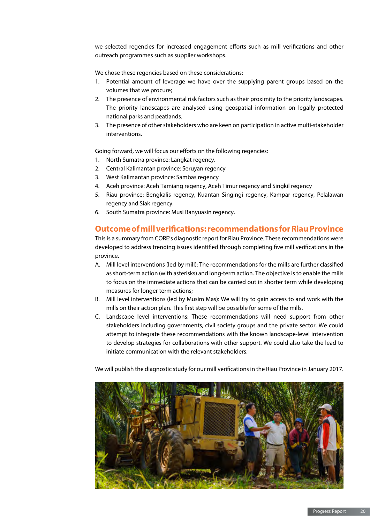we selected regencies for increased engagement efforts such as mill verifications and other outreach programmes such as supplier workshops.

We chose these regencies based on these considerations:

- 1. Potential amount of leverage we have over the supplying parent groups based on the volumes that we procure;
- 2. The presence of environmental risk factors such as their proximity to the priority landscapes. The priority landscapes are analysed using geospatial information on legally protected national parks and peatlands.
- 3. The presence of other stakeholders who are keen on participation in active multi-stakeholder interventions.

Going forward, we will focus our efforts on the following regencies:

- 1. North Sumatra province: Langkat regency.
- 2. Central Kalimantan province: Seruyan regency
- 3. West Kalimantan province: Sambas regency
- 4. Aceh province: Aceh Tamiang regency, Aceh Timur regency and Singkil regency
- 5. Riau province: Bengkalis regency, Kuantan Singingi regency, Kampar regency, Pelalawan regency and Siak regency.
- 6. South Sumatra province: Musi Banyuasin regency.

### **Outcome of mill verifications: recommendations for Riau Province**

This is a summary from CORE's diagnostic report for Riau Province. These recommendations were developed to address trending issues identified through completing five mill verifications in the province.

- A. Mill level interventions (led by mill): The recommendations for the mills are further classified as short-term action (with asterisks) and long-term action. The objective is to enable the mills to focus on the immediate actions that can be carried out in shorter term while developing measures for longer term actions;
- B. Mill level interventions (led by Musim Mas): We will try to gain access to and work with the mills on their action plan. This first step will be possible for some of the mills.
- C. Landscape level interventions: These recommendations will need support from other stakeholders including governments, civil society groups and the private sector. We could attempt to integrate these recommendations with the known landscape-level intervention to develop strategies for collaborations with other support. We could also take the lead to initiate communication with the relevant stakeholders.

We will publish the diagnostic study for our mill verifications in the Riau Province in January 2017.

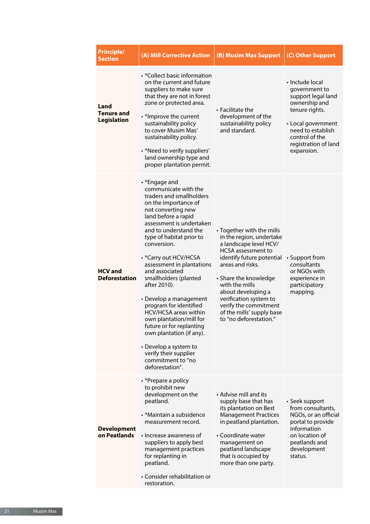| <b>Principle/</b><br><b>Section</b>             | (A) Mill Corrective Action                                                                                                                                                                                                                                                                                                                                                                                                                                                                                                                                                                                               | (B) Musim Mas Support                                                                                                                                                                                                                                                                                                                    | (C) Other Support                                                                                                                                                                            |
|-------------------------------------------------|--------------------------------------------------------------------------------------------------------------------------------------------------------------------------------------------------------------------------------------------------------------------------------------------------------------------------------------------------------------------------------------------------------------------------------------------------------------------------------------------------------------------------------------------------------------------------------------------------------------------------|------------------------------------------------------------------------------------------------------------------------------------------------------------------------------------------------------------------------------------------------------------------------------------------------------------------------------------------|----------------------------------------------------------------------------------------------------------------------------------------------------------------------------------------------|
| Land<br><b>Tenure and</b><br><b>Legislation</b> | • *Collect basic information<br>on the current and future<br>suppliers to make sure<br>that they are not in forest<br>zone or protected area.<br>• *Improve the current<br>sustainability policy<br>to cover Musim Mas'<br>sustainability policy.<br>• *Need to verify suppliers'<br>land ownership type and<br>proper plantation permit.                                                                                                                                                                                                                                                                                | $\cdot$ Facilitate the<br>development of the<br>sustainability policy<br>and standard.                                                                                                                                                                                                                                                   | • Include local<br>government to<br>support legal land<br>ownership and<br>tenure rights.<br>• Local government<br>need to establish<br>control of the<br>registration of land<br>expansion. |
| <b>HCV</b> and<br><b>Deforestation</b>          | • *Engage and<br>communicate with the<br>traders and smallholders<br>on the importance of<br>not converting new<br>land before a rapid<br>assessment is undertaken<br>and to understand the<br>type of habitat prior to<br>conversion.<br>• *Carry out HCV/HCSA<br>assessment in plantations<br>and associated<br>smallholders (planted<br>after 2010).<br>• Develop a management<br>program for identified<br><b>HCV/HCSA</b> areas within<br>own plantation/mill for<br>future or for replanting<br>own plantation (if any).<br>• Develop a system to<br>verify their supplier<br>commitment to "no<br>deforestation". | • Together with the mills<br>in the region, undertake<br>a landscape level HCV/<br><b>HCSA</b> assessment to<br>identify future potential<br>areas and risks.<br>• Share the knowledge<br>with the mills<br>about developing a<br>verification system to<br>verify the commitment<br>of the mills' supply base<br>to "no deforestation." | • Support from<br>consultants<br>or NGOs with<br>experience in<br>participatory<br>mapping.                                                                                                  |
| <b>Development</b><br>on Peatlands              | • *Prepare a policy<br>to prohibit new<br>development on the<br>peatland.<br>• *Maintain a subsidence<br>measurement record.<br>• Increase awareness of<br>suppliers to apply best<br>management practices<br>for replanting in<br>peatland.<br>• Consider rehabilitation or<br>restoration.                                                                                                                                                                                                                                                                                                                             | • Advise mill and its<br>supply base that has<br>its plantation on Best<br><b>Management Practices</b><br>in peatland plantation.<br>• Coordinate water<br>management on<br>peatland landscape<br>that is occupied by<br>more than one party.                                                                                            | • Seek support<br>from consultants,<br>NGOs, or an official<br>portal to provide<br>information<br>on location of<br>peatlands and<br>development<br>status.                                 |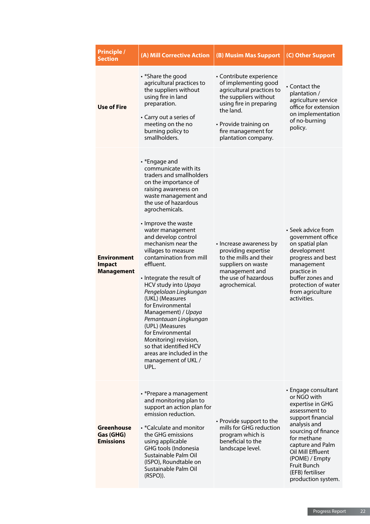| <b>Principle /</b><br><b>Section</b>                     | (A) Mill Corrective Action                                                                                                                                                                                                                                                                                                                                                                                                                                                                                                                                                                                                                                               | (B) Musim Mas Support                                                                                                                                                                                                | (C) Other Support                                                                                                                                                                                                                                                             |
|----------------------------------------------------------|--------------------------------------------------------------------------------------------------------------------------------------------------------------------------------------------------------------------------------------------------------------------------------------------------------------------------------------------------------------------------------------------------------------------------------------------------------------------------------------------------------------------------------------------------------------------------------------------------------------------------------------------------------------------------|----------------------------------------------------------------------------------------------------------------------------------------------------------------------------------------------------------------------|-------------------------------------------------------------------------------------------------------------------------------------------------------------------------------------------------------------------------------------------------------------------------------|
| <b>Use of Fire</b>                                       | • *Share the good<br>agricultural practices to<br>the suppliers without<br>using fire in land<br>preparation.<br>• Carry out a series of<br>meeting on the no<br>burning policy to<br>smallholders.                                                                                                                                                                                                                                                                                                                                                                                                                                                                      | • Contribute experience<br>of implementing good<br>agricultural practices to<br>the suppliers without<br>using fire in preparing<br>the land.<br>• Provide training on<br>fire management for<br>plantation company. | $\cdot$ Contact the<br>plantation /<br>agriculture service<br>office for extension<br>on implementation<br>of no-burning<br>policy.                                                                                                                                           |
| <b>Environment</b><br><b>Impact</b><br><b>Management</b> | • *Engage and<br>communicate with its<br>traders and smallholders<br>on the importance of<br>raising awareness on<br>waste management and<br>the use of hazardous<br>agrochemicals.<br>• Improve the waste<br>water management<br>and develop control<br>mechanism near the<br>villages to measure<br>contamination from mill<br>effluent.<br>• Integrate the result of<br>HCV study into Upaya<br>Pengelolaan Lingkungan<br>(UKL) (Measures<br>for Environmental<br>Management) / Upaya<br>Pemantauan Lingkungan<br>(UPL) (Measures<br>for Environmental<br>Monitoring) revision,<br>so that identified HCV<br>areas are included in the<br>management of UKL /<br>UPL. | • Increase awareness by<br>providing expertise<br>to the mills and their<br>suppliers on waste<br>management and<br>the use of hazardous<br>agrochemical.                                                            | • Seek advice from<br>government office<br>on spatial plan<br>development<br>progress and best<br>management<br>practice in<br>buffer zones and<br>protection of water<br>from agriculture<br>activities.                                                                     |
| <b>Greenhouse</b><br>Gas (GHG)<br><b>Emissions</b>       | • *Prepare a management<br>and monitoring plan to<br>support an action plan for<br>emission reduction.<br>• *Calculate and monitor<br>the GHG emissions<br>using applicable<br>GHG tools (Indonesia<br>Sustainable Palm Oil<br>(ISPO), Roundtable on<br>Sustainable Palm Oil<br>$(RSPO)$ ).                                                                                                                                                                                                                                                                                                                                                                              | • Provide support to the<br>mills for GHG reduction<br>program which is<br>beneficial to the<br>landscape level.                                                                                                     | • Engage consultant<br>or NGO with<br>expertise in GHG<br>assessment to<br>support financial<br>analysis and<br>sourcing of finance<br>for methane<br>capture and Palm<br>Oil Mill Effluent<br>(POME) / Empty<br><b>Fruit Bunch</b><br>(EFB) fertiliser<br>production system. |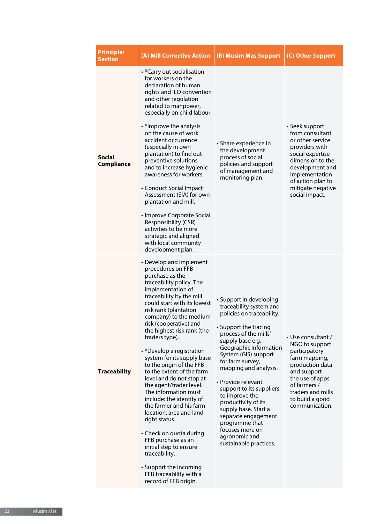| <b>Principle/</b><br><b>Section</b> | (A) Mill Corrective Action                                                                                                                                                                                                                                                                                                                                                                                                                                                                                                                                                                                                                                                                                                                                                               | (B) Musim Mas Support                                                                                                                                                                                                                                                                                                                                                                                                                                                          | (C) Other Support                                                                                                                                                                                                |
|-------------------------------------|------------------------------------------------------------------------------------------------------------------------------------------------------------------------------------------------------------------------------------------------------------------------------------------------------------------------------------------------------------------------------------------------------------------------------------------------------------------------------------------------------------------------------------------------------------------------------------------------------------------------------------------------------------------------------------------------------------------------------------------------------------------------------------------|--------------------------------------------------------------------------------------------------------------------------------------------------------------------------------------------------------------------------------------------------------------------------------------------------------------------------------------------------------------------------------------------------------------------------------------------------------------------------------|------------------------------------------------------------------------------------------------------------------------------------------------------------------------------------------------------------------|
| <b>Social</b><br><b>Compliance</b>  | • *Carry out socialisation<br>for workers on the<br>declaration of human<br>rights and ILO convention<br>and other regulation<br>related to manpower,<br>especially on child labour.<br>• *Improve the analysis<br>on the cause of work<br>accident occurrence<br>(especially in own<br>plantation) to find out<br>preventive solutions<br>and to increase hygienic<br>awareness for workers.<br>• Conduct Social Impact<br>Assessment (SIA) for own<br>plantation and mill.<br>• Improve Corporate Social<br>Responsibility (CSR)<br>activities to be more<br>strategic and aligned<br>with local community<br>development plan.                                                                                                                                                        | • Share experience in<br>the development<br>process of social<br>policies and support<br>of management and<br>monitoring plan.                                                                                                                                                                                                                                                                                                                                                 | • Seek support<br>from consultant<br>or other service<br>providers with<br>social expertise<br>dimension to the<br>development and<br>implementation<br>of action plan to<br>mitigate negative<br>social impact. |
| <b>Traceability</b>                 | • Develop and implement<br>procedures on FFB<br>purchase as the<br>traceability policy. The<br>implementation of<br>traceability by the mill<br>could start with its lowest<br>risk rank (plantation<br>company) to the medium<br>risk (cooperative) and<br>the highest risk rank (the<br>traders type).<br>• *Develop a registration<br>system for its supply base<br>to the origin of the FFB<br>to the extent of the farm<br>level and do not stop at<br>the agent/trader level.<br>The information must<br>include: the identity of<br>the farmer and his farm<br>location, area and land<br>right status.<br>• Check on quota during<br>FFB purchase as an<br>initial step to ensure<br>traceability.<br>• Support the incoming<br>FFB traceability with a<br>record of FFB origin. | • Support in developing<br>traceability system and<br>policies on traceability.<br>• Support the tracing<br>process of the mills'<br>supply base e.g.<br>Geographic Information<br>System (GIS) support<br>for farm survey,<br>mapping and analysis.<br>• Provide relevant<br>support to its suppliers<br>to improve the<br>productivity of its<br>supply base. Start a<br>separate engagement<br>programme that<br>focuses more on<br>agronomic and<br>sustainable practices. | • Use consultant /<br>NGO to support<br>participatory<br>farm mapping,<br>production data<br>and support<br>the use of apps<br>of farmers /<br>traders and mills<br>to build a good<br>communication.            |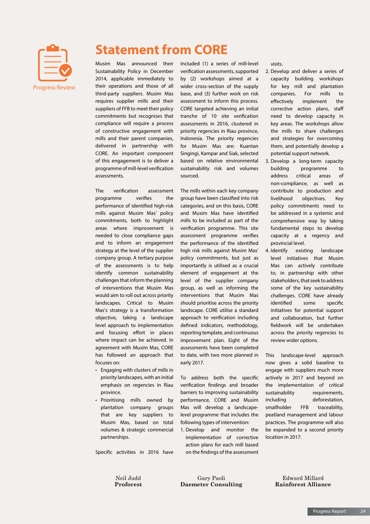

## **Statement from CORE**

Musim Mas announced their Sustainability Policy in December 2014, applicable immediately to their operations and those of all third-party suppliers. Musim Mas requires supplier mills and their suppliers of FFB to meet their policy commitments but recognises that compliance will require a process of constructive engagement with mills and their parent companies, delivered in partnership with CORE. An important component of this engagement is to deliver a programme of mill-level verification assessments.

The verification assessment programme verifies the performance of identified high-risk mills against Musim Mas' policy commitments, both to highlight areas where improvement is needed to close compliance gaps and to inform an engagement strategy at the level of the supplier company group. A tertiary purpose of the assessments is to help identify common sustainability challenges that inform the planning of interventions that Musim Mas would aim to roll out across priority landscapes. Critical to Musim Mas's strategy is a transformation objective, taking a landscape level approach to implementation and focusing effort in places where impact can be achieved. In agreement with Musim Mas, CORE has followed an approach that focuses on:

- Engaging with clusters of mills in priority landscapes, with an initial emphasis on regencies in Riau province.
- Prioritising mills owned by plantation company groups that are key suppliers to Musim Mas, based on total volumes & strategic commercial partnerships.

Specific activities in 2016 have

included (1) a series of mill-level verification assessments, supported by (2) workshops aimed at a wider cross-section of the supply base, and (3) further work on risk assessment to inform this process. CORE targeted achieving an initial tranche of 10 site verification assessments in 2016, clustered in priority regencies in Riau province, Indonesia. The priority regencies for Musim Mas are: Kuantan Singingi, Kampar and Siak, selected based on relative environmental sustainability risk and volumes sourced.

The mills within each key company group have been classified into risk categories, and on this basis, CORE and Musim Mas have identified mills to be included as part of the verification programme. This site assessment programme verifies the performance of the identified high risk mills against Musim Mas' policy commitments, but just as importantly is utilised as a crucial element of engagement at the level of the supplier company group, as well as informing the interventions that Musim Mas should prioritise across the priority landscape. CORE utilise a standard approach to verification including defined indicators, methodology, reporting template, and continuous improvement plan. Eight of the assessments have been completed to date, with two more planned in early 2017.

To address both the specific verification findings and broader barriers to improving sustainability performance, CORE and Musim Mas will develop a landscapelevel programme that includes the following types of intervention:

1. Develop and monitor the implementation of corrective action plans for each mill based on the findings of the assessment

Gary Paoli **Daemeter Consulting** visits.

- 2. Develop and deliver a series of capacity building workshops for key mill and plantation companies. For mills to effectively implement the corrective action plans, staff need to develop capacity in key areas. The workshops allow the mills to share challenges and strategies for overcoming them, and potentially develop a potential support network.
- 3. Develop a long-term capacity building programme to address critical areas of non-compliance, as well as contribute to production and livelihood objectives. Key policy commitments need to be addressed in a systemic and comprehensive way by taking fundamental steps to develop capacity at a regency and provincial level.
- 4. Identify existing landscape level initiatives that Musim Mas can actively contribute to, in partnership with other stakeholders, that seek to address some of the key sustainability challenges. CORE have already identified some specific initiatives for potential support and collaboration, but further fieldwork will be undertaken across the priority regencies to review wider options.

This landscape-level approach now gives a solid baseline to engage with suppliers much more actively in 2017 and beyond on the implementation of critical sustainability requirements, including deforestation, smallholder FFB traceability, peatland management and labour practices. The programme will also be expanded to a second priority location in 2017.

> Edward Millard **Rainforest Alliance**

Neil Judd **Proforest**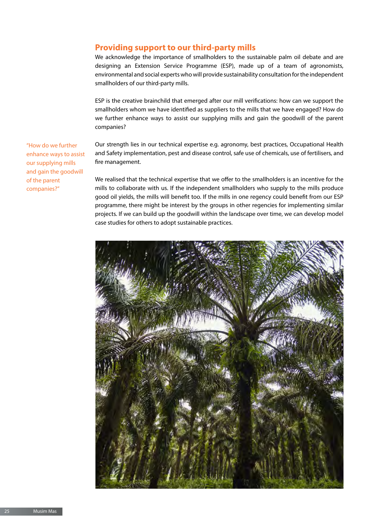### **Providing support to our third-party mills**

We acknowledge the importance of smallholders to the sustainable palm oil debate and are designing an Extension Service Programme (ESP), made up of a team of agronomists, environmental and social experts who will provide sustainability consultation for the independent smallholders of our third-party mills.

ESP is the creative brainchild that emerged after our mill verifications: how can we support the smallholders whom we have identified as suppliers to the mills that we have engaged? How do we further enhance ways to assist our supplying mills and gain the goodwill of the parent companies?

Our strength lies in our technical expertise e.g. agronomy, best practices, Occupational Health and Safety implementation, pest and disease control, safe use of chemicals, use of fertilisers, and fire management.

We realised that the technical expertise that we offer to the smallholders is an incentive for the mills to collaborate with us. If the independent smallholders who supply to the mills produce good oil yields, the mills will benefit too. If the mills in one regency could benefit from our ESP programme, there might be interest by the groups in other regencies for implementing similar projects. If we can build up the goodwill within the landscape over time, we can develop model case studies for others to adopt sustainable practices.



"How do we further enhance ways to assist our supplying mills and gain the goodwill of the parent companies?"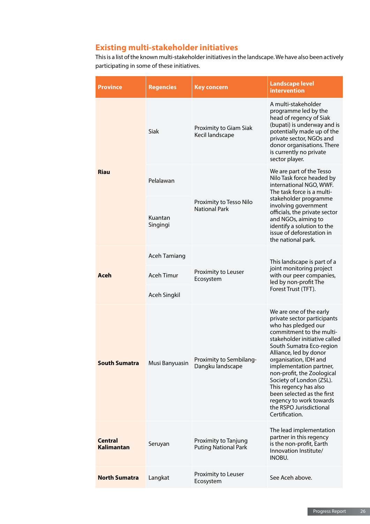## **Existing multi-stakeholder initiatives**

This is a list of the known multi-stakeholder initiatives in the landscape. We have also been actively participating in some of these initiatives.

| <b>Province</b>              | <b>Regencies</b>    | <b>Key concern</b>                                  | <b>Landscape level</b><br>intervention                                                                                                                                                                                                                                                                                                                                                                                                        |
|------------------------------|---------------------|-----------------------------------------------------|-----------------------------------------------------------------------------------------------------------------------------------------------------------------------------------------------------------------------------------------------------------------------------------------------------------------------------------------------------------------------------------------------------------------------------------------------|
| <b>Riau</b>                  | Siak                | Proximity to Giam Siak<br>Kecil landscape           | A multi-stakeholder<br>programme led by the<br>head of regency of Siak<br>(bupati) is underway and is<br>potentially made up of the<br>private sector, NGOs and<br>donor organisations. There<br>is currently no private<br>sector player.                                                                                                                                                                                                    |
|                              | Pelalawan           | Proximity to Tesso Nilo<br><b>National Park</b>     | We are part of the Tesso<br>Nilo Task force headed by<br>international NGO, WWF.<br>The task force is a multi-<br>stakeholder programme<br>involving government<br>officials, the private sector<br>and NGOs, aiming to<br>identify a solution to the<br>issue of deforestation in<br>the national park.                                                                                                                                      |
|                              | Kuantan<br>Singingi |                                                     |                                                                                                                                                                                                                                                                                                                                                                                                                                               |
| Aceh                         | <b>Aceh Tamiang</b> | Proximity to Leuser<br>Ecosystem                    | This landscape is part of a<br>joint monitoring project<br>with our peer companies,<br>led by non-profit The<br>Forest Trust (TFT).                                                                                                                                                                                                                                                                                                           |
|                              | <b>Aceh Timur</b>   |                                                     |                                                                                                                                                                                                                                                                                                                                                                                                                                               |
|                              | Aceh Singkil        |                                                     |                                                                                                                                                                                                                                                                                                                                                                                                                                               |
| <b>South Sumatra</b>         | Musi Banyuasin      | Proximity to Sembilang-<br>Dangku landscape         | We are one of the early<br>private sector participants<br>who has pledged our<br>commitment to the multi-<br>stakeholder initiative called<br>South Sumatra Eco-region<br>Alliance, led by donor<br>organisation, IDH and<br>implementation partner,<br>non-profit, the Zoological<br>Society of London (ZSL).<br>This regency has also<br>been selected as the first<br>regency to work towards<br>the RSPO Jurisdictional<br>Certification. |
| <b>Central</b><br>Kalimantan | Seruyan             | Proximity to Tanjung<br><b>Puting National Park</b> | The lead implementation<br>partner in this regency<br>is the non-profit, Earth<br>Innovation Institute/<br>INOBU.                                                                                                                                                                                                                                                                                                                             |
| <b>North Sumatra</b>         | Langkat             | Proximity to Leuser<br>Ecosystem                    | See Aceh above.                                                                                                                                                                                                                                                                                                                                                                                                                               |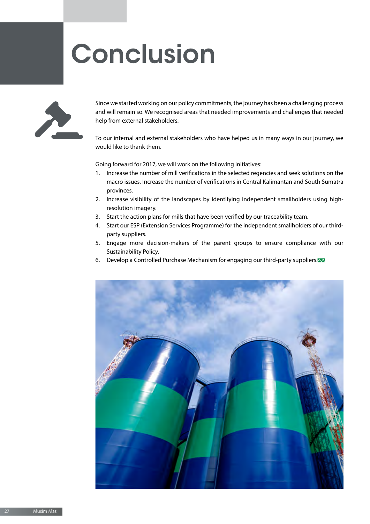# **Conclusion**



Since we started working on our policy commitments, the journey has been a challenging process and will remain so. We recognised areas that needed improvements and challenges that needed help from external stakeholders.

To our internal and external stakeholders who have helped us in many ways in our journey, we would like to thank them.

Going forward for 2017, we will work on the following initiatives:

- 1. Increase the number of mill verifications in the selected regencies and seek solutions on the macro issues. Increase the number of verifications in Central Kalimantan and South Sumatra provinces.
- 2. Increase visibility of the landscapes by identifying independent smallholders using highresolution imagery.
- 3. Start the action plans for mills that have been verified by our traceability team.
- 4. Start our ESP (Extension Services Programme) for the independent smallholders of our thirdparty suppliers.
- 5. Engage more decision-makers of the parent groups to ensure compliance with our Sustainability Policy.
- 6. Develop a Controlled Purchase Mechanism for engaging our third-party suppliers.